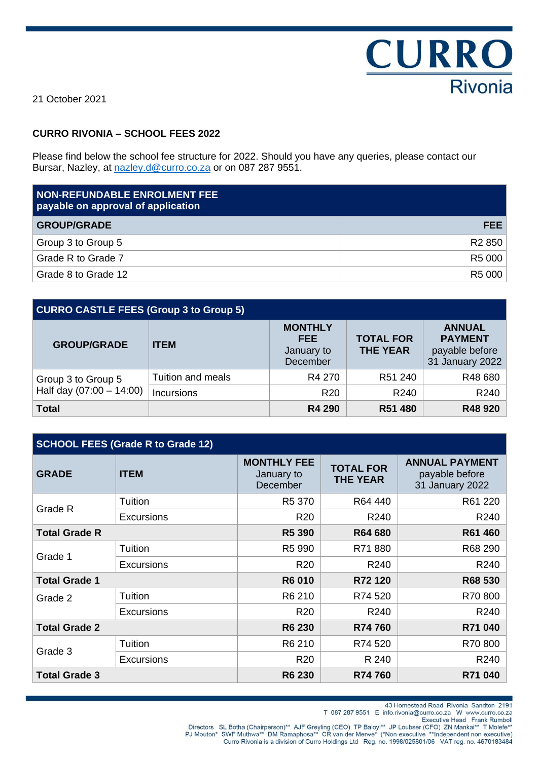

21 October 2021

# **CURRO RIVONIA – SCHOOL FEES 2022**

Please find below the school fee structure for 2022. Should you have any queries, please contact our Bursar, Nazley, at [nazley.d@curro.co.za](mailto:nazley.d@curro.co.za) or on 087 287 9551.

| <b>NON-REFUNDABLE ENROLMENT FEE</b><br>payable on approval of application |                    |
|---------------------------------------------------------------------------|--------------------|
| <b>GROUP/GRADE</b>                                                        | FEE.               |
| Group 3 to Group 5                                                        | R <sub>2</sub> 850 |
| Grade R to Grade 7                                                        | R5 000             |
| Grade 8 to Grade 12                                                       | R5 000             |

| <b>CURRO CASTLE FEES (Group 3 to Group 5)</b> |                   |                                                        |                                     |                                                                      |
|-----------------------------------------------|-------------------|--------------------------------------------------------|-------------------------------------|----------------------------------------------------------------------|
| <b>GROUP/GRADE</b>                            | <b>ITEM</b>       | <b>MONTHLY</b><br><b>FEE</b><br>January to<br>December | <b>TOTAL FOR</b><br><b>THE YEAR</b> | <b>ANNUAL</b><br><b>PAYMENT</b><br>payable before<br>31 January 2022 |
| Group 3 to Group 5                            | Tuition and meals | R4 270                                                 | R51 240                             | R48 680                                                              |
| Half day $(07:00 - 14:00)$                    | Incursions        | <b>R20</b>                                             | R240                                | R240                                                                 |
| <b>Total</b>                                  |                   | <b>R4 290</b>                                          | R51 480                             | R48 920                                                              |

| <b>SCHOOL FEES (Grade R to Grade 12)</b> |                   |                                              |                                     |                                                            |
|------------------------------------------|-------------------|----------------------------------------------|-------------------------------------|------------------------------------------------------------|
| <b>GRADE</b>                             | <b>ITEM</b>       | <b>MONTHLY FEE</b><br>January to<br>December | <b>TOTAL FOR</b><br><b>THE YEAR</b> | <b>ANNUAL PAYMENT</b><br>payable before<br>31 January 2022 |
| Grade R                                  | Tuition           | R5 370                                       | R64 440                             | R61 220                                                    |
|                                          | <b>Excursions</b> | R <sub>20</sub>                              | R240                                | R240                                                       |
| <b>Total Grade R</b>                     |                   | <b>R5 390</b>                                | R64 680                             | R61 460                                                    |
| Grade 1                                  | <b>Tuition</b>    | R5 990                                       | R71880                              | R68 290                                                    |
|                                          | <b>Excursions</b> | R <sub>20</sub>                              | R240                                | R240                                                       |
| <b>Total Grade 1</b>                     |                   | R6 010                                       | R72 120                             | R68 530                                                    |
| Grade 2                                  | Tuition           | R6 210                                       | R74 520                             | R70800                                                     |
|                                          | <b>Excursions</b> | R <sub>20</sub>                              | R240                                | R240                                                       |
| <b>Total Grade 2</b>                     |                   | <b>R6 230</b>                                | R74 760                             | R71 040                                                    |
| Grade 3                                  | Tuition           | R6 210                                       | R74 520                             | R70800                                                     |
|                                          | <b>Excursions</b> | R <sub>20</sub>                              | R 240                               | R240                                                       |
| <b>Total Grade 3</b>                     |                   | <b>R6 230</b>                                | R74 760                             | R71 040                                                    |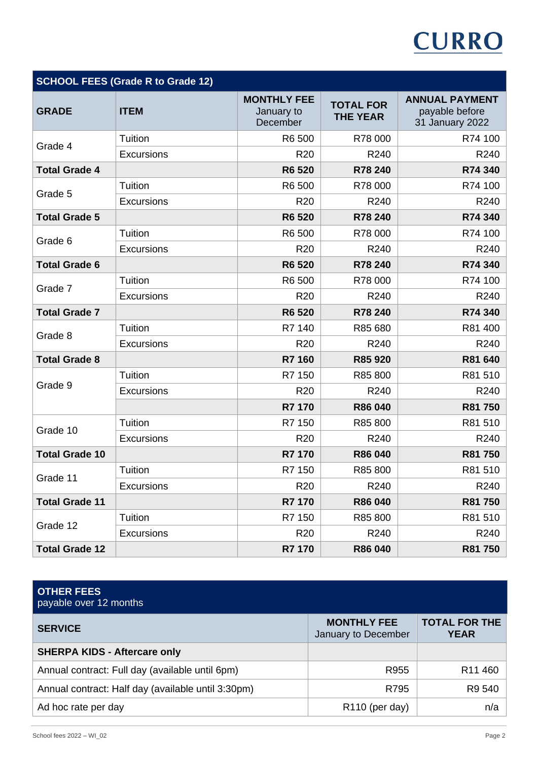# **CURRO**

| <b>SCHOOL FEES (Grade R to Grade 12)</b> |                   |                                              |                                     |                                                            |
|------------------------------------------|-------------------|----------------------------------------------|-------------------------------------|------------------------------------------------------------|
| <b>GRADE</b>                             | <b>ITEM</b>       | <b>MONTHLY FEE</b><br>January to<br>December | <b>TOTAL FOR</b><br><b>THE YEAR</b> | <b>ANNUAL PAYMENT</b><br>payable before<br>31 January 2022 |
| Grade 4                                  | Tuition           | R6 500                                       | R78 000                             | R74 100                                                    |
|                                          | <b>Excursions</b> | R <sub>20</sub>                              | R240                                | R240                                                       |
| <b>Total Grade 4</b>                     |                   | R6 520                                       | R78 240                             | R74 340                                                    |
| Grade 5                                  | Tuition           | R6 500                                       | R78 000                             | R74 100                                                    |
|                                          | <b>Excursions</b> | R <sub>20</sub>                              | R240                                | R240                                                       |
| <b>Total Grade 5</b>                     |                   | R6 520                                       | R78 240                             | R74 340                                                    |
| Grade 6                                  | Tuition           | R6 500                                       | R78 000                             | R74 100                                                    |
|                                          | Excursions        | R <sub>20</sub>                              | R240                                | R240                                                       |
| <b>Total Grade 6</b>                     |                   | <b>R6520</b>                                 | R78 240                             | R74 340                                                    |
| Grade 7                                  | Tuition           | R6 500                                       | R78 000                             | R74 100                                                    |
|                                          | <b>Excursions</b> | R <sub>20</sub>                              | R240                                | R240                                                       |
| <b>Total Grade 7</b>                     |                   | <b>R6 520</b>                                | R78 240                             | R74 340                                                    |
| Grade 8                                  | Tuition           | R7 140                                       | R85 680                             | R81 400                                                    |
|                                          | Excursions        | <b>R20</b>                                   | R240                                | R240                                                       |
| <b>Total Grade 8</b>                     |                   | R7 160                                       | R85 920                             | R81 640                                                    |
|                                          | Tuition           | R7 150                                       | R85 800                             | R81 510                                                    |
| Grade 9                                  | <b>Excursions</b> | R <sub>20</sub>                              | R240                                | R240                                                       |
|                                          |                   | R7 170                                       | R86 040                             | R81 750                                                    |
|                                          | Tuition           | R7 150                                       | R85 800                             | R81 510                                                    |
| Grade 10                                 | Excursions        | R <sub>20</sub>                              | R240                                | R240                                                       |
| <b>Total Grade 10</b>                    |                   | R7 170                                       | R86 040                             | R81 750                                                    |
|                                          | Tuition           | R7 150                                       | R85 800                             | R81 510                                                    |
| Grade 11                                 | Excursions        | R <sub>20</sub>                              | R240                                | R240                                                       |
| <b>Total Grade 11</b>                    |                   | R7 170                                       | R86 040                             | R81 750                                                    |
|                                          | Tuition           | R7 150                                       | R85 800                             | R81 510                                                    |
| Grade 12                                 | <b>Excursions</b> | R <sub>20</sub>                              | R240                                | R240                                                       |
| <b>Total Grade 12</b>                    |                   | R7 170                                       | R86 040                             | R81 750                                                    |

| <b>OTHER FEES</b><br>payable over 12 months        |                                           |                                     |
|----------------------------------------------------|-------------------------------------------|-------------------------------------|
| <b>SERVICE</b>                                     | <b>MONTHLY FEE</b><br>January to December | <b>TOTAL FOR THE</b><br><b>YEAR</b> |
| <b>SHERPA KIDS - Aftercare only</b>                |                                           |                                     |
| Annual contract: Full day (available until 6pm)    | R955                                      | R <sub>11</sub> 460                 |
| Annual contract: Half day (available until 3:30pm) | R795                                      | R9 540                              |
| Ad hoc rate per day                                | R <sub>110</sub> (per day)                | n/a                                 |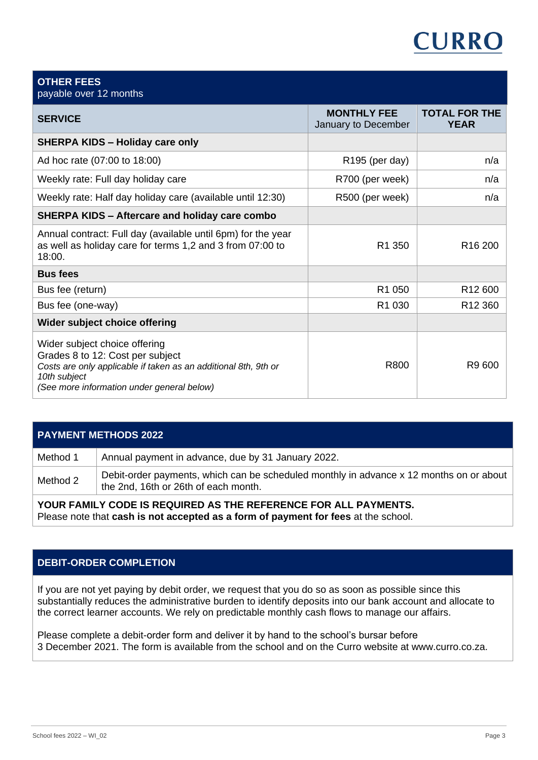# CURRC

# payable over 12 months **SERVICE MONTHLY FEE** January to December **TOTAL FOR THE YEAR SHERPA KIDS – Holiday care only** Ad hoc rate (07:00 to 18:00)  $n/a$ Weekly rate: Full day holiday care  $R700$  (per week) n/a Weekly rate: Half day holiday care (available until 12:30)  $\qquad$  R500 (per week)  $\qquad$  n/a **SHERPA KIDS – Aftercare and holiday care combo** Annual contract: Full day (available until 6pm) for the year as well as holiday care for terms 1,2 and 3 from 07:00 to 18:00. R1 350 R16 200 **Bus fees** Bus fee (return) R1 050 R1 2 600 Bus fee (one-way)  $\overline{R1030}$  R1 030 R12 360 **Wider subject choice offering** Wider subject choice offering Grades 8 to 12: Cost per subject *Costs are only applicable if taken as an additional 8th, 9th or 10th subject (See more information under general below)* R800 R9 600

# **PAYMENT METHODS 2022** Method 1 | Annual payment in advance, due by 31 January 2022. Method 2 Debit-order payments, which can be scheduled monthly in advance x 12 months on or about the 2nd, 16th or 26th of each month.

**YOUR FAMILY CODE IS REQUIRED AS THE REFERENCE FOR ALL PAYMENTS.** Please note that **cash is not accepted as a form of payment for fees** at the school.

# **DEBIT-ORDER COMPLETION**

If you are not yet paying by debit order, we request that you do so as soon as possible since this substantially reduces the administrative burden to identify deposits into our bank account and allocate to the correct learner accounts. We rely on predictable monthly cash flows to manage our affairs.

Please complete a debit-order form and deliver it by hand to the school's bursar before 3 December 2021. The form is available from the school and on the Curro website at www.curro.co.za.

**OTHER FEES**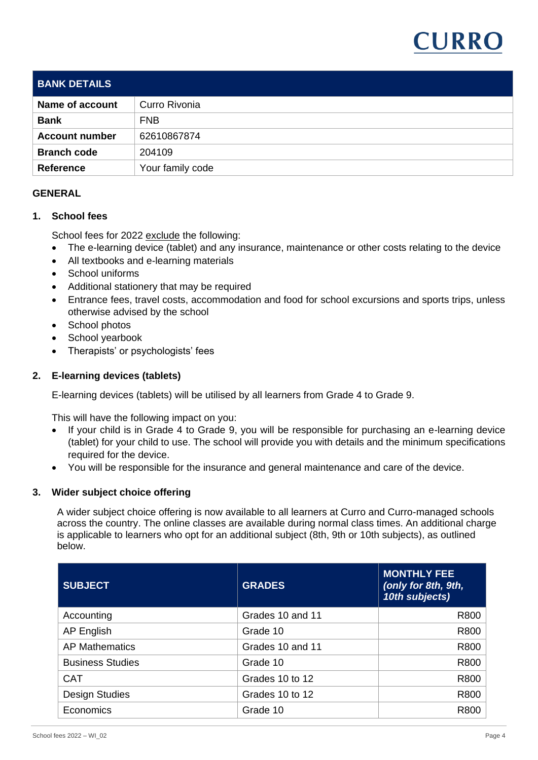

| <b>BANK DETAILS</b>    |                  |
|------------------------|------------------|
| <b>Name of account</b> | Curro Rivonia    |
| <b>Bank</b>            | <b>FNB</b>       |
| <b>Account number</b>  | 62610867874      |
| <b>Branch code</b>     | 204109           |
| <b>Reference</b>       | Your family code |

## **GENERAL**

### **1. School fees**

School fees for 2022 exclude the following:

- The e-learning device (tablet) and any insurance, maintenance or other costs relating to the device
- All textbooks and e-learning materials
- School uniforms
- Additional stationery that may be required
- Entrance fees, travel costs, accommodation and food for school excursions and sports trips, unless otherwise advised by the school
- School photos
- School yearbook
- Therapists' or psychologists' fees

### **2. E-learning devices (tablets)**

E-learning devices (tablets) will be utilised by all learners from Grade 4 to Grade 9.

This will have the following impact on you:

- If your child is in Grade 4 to Grade 9, you will be responsible for purchasing an e-learning device (tablet) for your child to use. The school will provide you with details and the minimum specifications required for the device.
- You will be responsible for the insurance and general maintenance and care of the device.

# **3. Wider subject choice offering**

A wider subject choice offering is now available to all learners at Curro and Curro-managed schools across the country. The online classes are available during normal class times. An additional charge is applicable to learners who opt for an additional subject (8th, 9th or 10th subjects), as outlined below.

| <b>SUBJECT</b>          | <b>GRADES</b>    | <b>MONTHLY FEE</b><br>(only for 8th, 9th,<br>10th subjects) |
|-------------------------|------------------|-------------------------------------------------------------|
| Accounting              | Grades 10 and 11 | R800                                                        |
| AP English              | Grade 10         | R800                                                        |
| <b>AP Mathematics</b>   | Grades 10 and 11 | R800                                                        |
| <b>Business Studies</b> | Grade 10         | R800                                                        |
| <b>CAT</b>              | Grades 10 to 12  | R800                                                        |
| <b>Design Studies</b>   | Grades 10 to 12  | R800                                                        |
| Economics               | Grade 10         | R800                                                        |